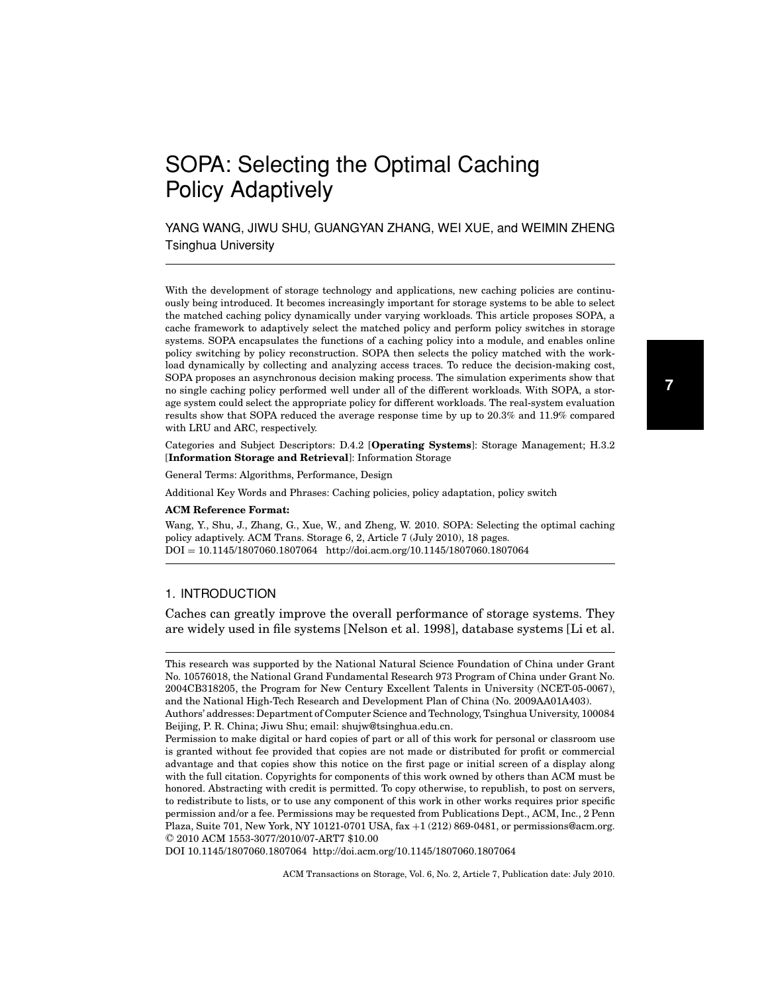# SOPA: Selecting the Optimal Caching Policy Adaptively

YANG WANG, JIWU SHU, GUANGYAN ZHANG, WEI XUE, and WEIMIN ZHENG Tsinghua University

With the development of storage technology and applications, new caching policies are continuously being introduced. It becomes increasingly important for storage systems to be able to select the matched caching policy dynamically under varying workloads. This article proposes SOPA, a cache framework to adaptively select the matched policy and perform policy switches in storage systems. SOPA encapsulates the functions of a caching policy into a module, and enables online policy switching by policy reconstruction. SOPA then selects the policy matched with the workload dynamically by collecting and analyzing access traces. To reduce the decision-making cost, SOPA proposes an asynchronous decision making process. The simulation experiments show that no single caching policy performed well under all of the different workloads. With SOPA, a storage system could select the appropriate policy for different workloads. The real-system evaluation results show that SOPA reduced the average response time by up to 20.3% and 11.9% compared with LRU and ARC, respectively.

Categories and Subject Descriptors: D.4.2 [**Operating Systems**]: Storage Management; H.3.2 [**Information Storage and Retrieval**]: Information Storage

General Terms: Algorithms, Performance, Design

Additional Key Words and Phrases: Caching policies, policy adaptation, policy switch

#### **ACM Reference Format:**

Wang, Y., Shu, J., Zhang, G., Xue, W., and Zheng, W. 2010. SOPA: Selecting the optimal caching policy adaptively. ACM Trans. Storage 6, 2, Article 7 (July 2010), 18 pages. DOI = 10.1145/1807060.1807064 http://doi.acm.org/10.1145/1807060.1807064

## 1. INTRODUCTION

Caches can greatly improve the overall performance of storage systems. They are widely used in file systems [Nelson et al. 1998], database systems [Li et al.

DOI 10.1145/1807060.1807064 http://doi.acm.org/10.1145/1807060.1807064

This research was supported by the National Natural Science Foundation of China under Grant No. 10576018, the National Grand Fundamental Research 973 Program of China under Grant No. 2004CB318205, the Program for New Century Excellent Talents in University (NCET-05-0067), and the National High-Tech Research and Development Plan of China (No. 2009AA01A403).

Authors' addresses: Department of Computer Science and Technology, Tsinghua University, 100084 Beijing, P. R. China; Jiwu Shu; email: shujw@tsinghua.edu.cn.

Permission to make digital or hard copies of part or all of this work for personal or classroom use is granted without fee provided that copies are not made or distributed for profit or commercial advantage and that copies show this notice on the first page or initial screen of a display along with the full citation. Copyrights for components of this work owned by others than ACM must be honored. Abstracting with credit is permitted. To copy otherwise, to republish, to post on servers, to redistribute to lists, or to use any component of this work in other works requires prior specific permission and/or a fee. Permissions may be requested from Publications Dept., ACM, Inc., 2 Penn Plaza, Suite 701, New York, NY 10121-0701 USA, fax +1 (212) 869-0481, or permissions@acm.org. -C 2010 ACM 1553-3077/2010/07-ART7 \$10.00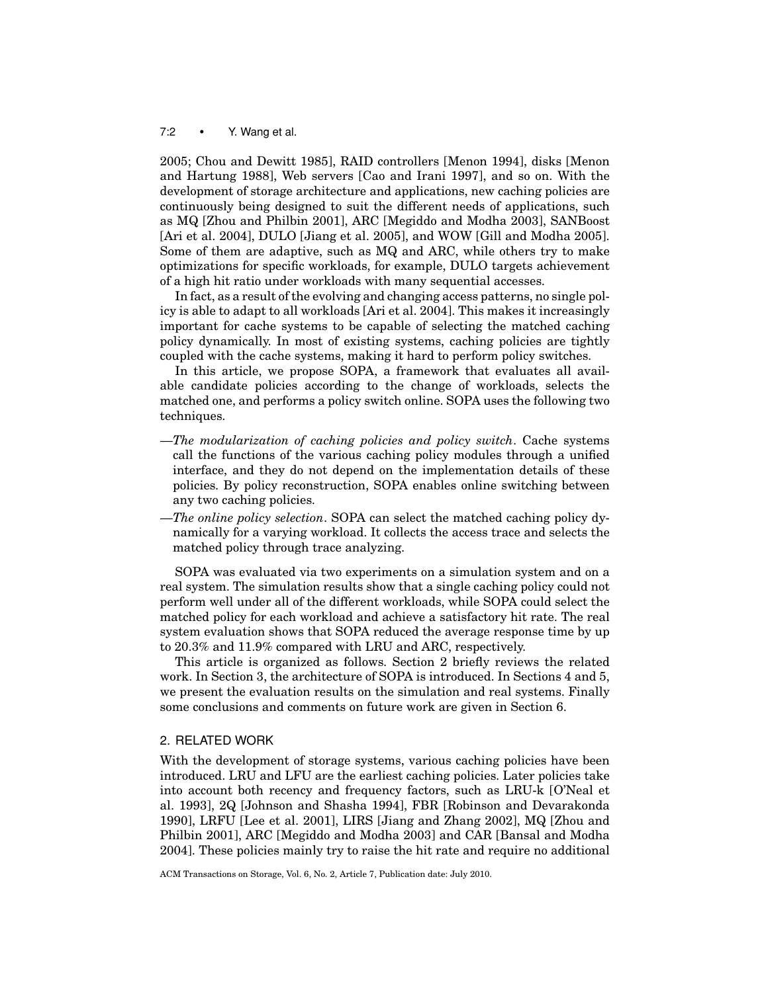## 7:2 • Y. Wang et al.

2005; Chou and Dewitt 1985], RAID controllers [Menon 1994], disks [Menon and Hartung 1988], Web servers [Cao and Irani 1997], and so on. With the development of storage architecture and applications, new caching policies are continuously being designed to suit the different needs of applications, such as MQ [Zhou and Philbin 2001], ARC [Megiddo and Modha 2003], SANBoost [Ari et al. 2004], DULO [Jiang et al. 2005], and WOW [Gill and Modha 2005]. Some of them are adaptive, such as MQ and ARC, while others try to make optimizations for specific workloads, for example, DULO targets achievement of a high hit ratio under workloads with many sequential accesses.

In fact, as a result of the evolving and changing access patterns, no single policy is able to adapt to all workloads [Ari et al. 2004]. This makes it increasingly important for cache systems to be capable of selecting the matched caching policy dynamically. In most of existing systems, caching policies are tightly coupled with the cache systems, making it hard to perform policy switches.

In this article, we propose SOPA, a framework that evaluates all available candidate policies according to the change of workloads, selects the matched one, and performs a policy switch online. SOPA uses the following two techniques.

- —*The modularization of caching policies and policy switch*. Cache systems call the functions of the various caching policy modules through a unified interface, and they do not depend on the implementation details of these policies. By policy reconstruction, SOPA enables online switching between any two caching policies.
- —*The online policy selection*. SOPA can select the matched caching policy dynamically for a varying workload. It collects the access trace and selects the matched policy through trace analyzing.

SOPA was evaluated via two experiments on a simulation system and on a real system. The simulation results show that a single caching policy could not perform well under all of the different workloads, while SOPA could select the matched policy for each workload and achieve a satisfactory hit rate. The real system evaluation shows that SOPA reduced the average response time by up to 20.3% and 11.9% compared with LRU and ARC, respectively.

This article is organized as follows. Section 2 briefly reviews the related work. In Section 3, the architecture of SOPA is introduced. In Sections 4 and 5, we present the evaluation results on the simulation and real systems. Finally some conclusions and comments on future work are given in Section 6.

## 2. RELATED WORK

With the development of storage systems, various caching policies have been introduced. LRU and LFU are the earliest caching policies. Later policies take into account both recency and frequency factors, such as LRU-k [O'Neal et al. 1993], 2Q [Johnson and Shasha 1994], FBR [Robinson and Devarakonda 1990], LRFU [Lee et al. 2001], LIRS [Jiang and Zhang 2002], MQ [Zhou and Philbin 2001], ARC [Megiddo and Modha 2003] and CAR [Bansal and Modha 2004]. These policies mainly try to raise the hit rate and require no additional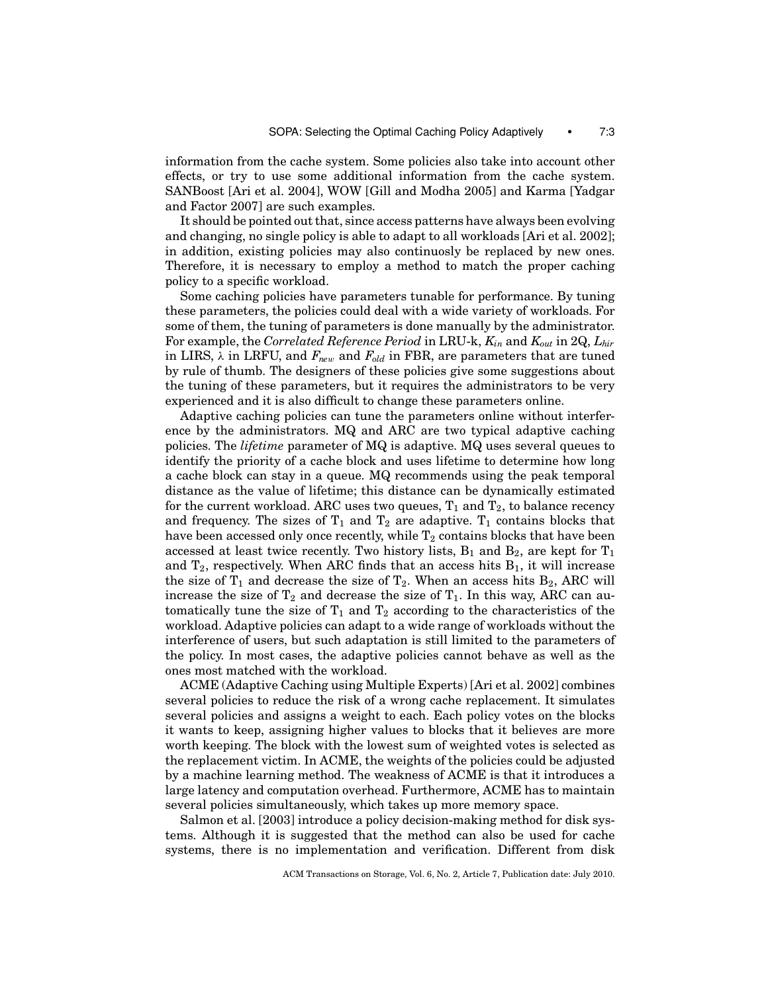information from the cache system. Some policies also take into account other effects, or try to use some additional information from the cache system. SANBoost [Ari et al. 2004], WOW [Gill and Modha 2005] and Karma [Yadgar and Factor 2007] are such examples.

It should be pointed out that, since access patterns have always been evolving and changing, no single policy is able to adapt to all workloads [Ari et al. 2002]; in addition, existing policies may also continuosly be replaced by new ones. Therefore, it is necessary to employ a method to match the proper caching policy to a specific workload.

Some caching policies have parameters tunable for performance. By tuning these parameters, the policies could deal with a wide variety of workloads. For some of them, the tuning of parameters is done manually by the administrator. For example, the *Correlated Reference Period* in LRU-k, *Kin* and *Kout* in 2Q, *Lhir* in LIRS,  $\lambda$  in LRFU, and  $F_{new}$  and  $F_{old}$  in FBR, are parameters that are tuned by rule of thumb. The designers of these policies give some suggestions about the tuning of these parameters, but it requires the administrators to be very experienced and it is also difficult to change these parameters online.

Adaptive caching policies can tune the parameters online without interference by the administrators. MQ and ARC are two typical adaptive caching policies. The *lifetime* parameter of MQ is adaptive. MQ uses several queues to identify the priority of a cache block and uses lifetime to determine how long a cache block can stay in a queue. MQ recommends using the peak temporal distance as the value of lifetime; this distance can be dynamically estimated for the current workload. ARC uses two queues,  $T_1$  and  $T_2$ , to balance recency and frequency. The sizes of  $T_1$  and  $T_2$  are adaptive.  $T_1$  contains blocks that have been accessed only once recently, while  $T_2$  contains blocks that have been accessed at least twice recently. Two history lists,  $B_1$  and  $B_2$ , are kept for  $T_1$ and  $T_2$ , respectively. When ARC finds that an access hits  $B_1$ , it will increase the size of  $T_1$  and decrease the size of  $T_2$ . When an access hits  $B_2$ , ARC will increase the size of  $T_2$  and decrease the size of  $T_1$ . In this way, ARC can automatically tune the size of  $T_1$  and  $T_2$  according to the characteristics of the workload. Adaptive policies can adapt to a wide range of workloads without the interference of users, but such adaptation is still limited to the parameters of the policy. In most cases, the adaptive policies cannot behave as well as the ones most matched with the workload.

ACME (Adaptive Caching using Multiple Experts) [Ari et al. 2002] combines several policies to reduce the risk of a wrong cache replacement. It simulates several policies and assigns a weight to each. Each policy votes on the blocks it wants to keep, assigning higher values to blocks that it believes are more worth keeping. The block with the lowest sum of weighted votes is selected as the replacement victim. In ACME, the weights of the policies could be adjusted by a machine learning method. The weakness of ACME is that it introduces a large latency and computation overhead. Furthermore, ACME has to maintain several policies simultaneously, which takes up more memory space.

Salmon et al. [2003] introduce a policy decision-making method for disk systems. Although it is suggested that the method can also be used for cache systems, there is no implementation and verification. Different from disk

ACM Transactions on Storage, Vol. 6, No. 2, Article 7, Publication date: July 2010.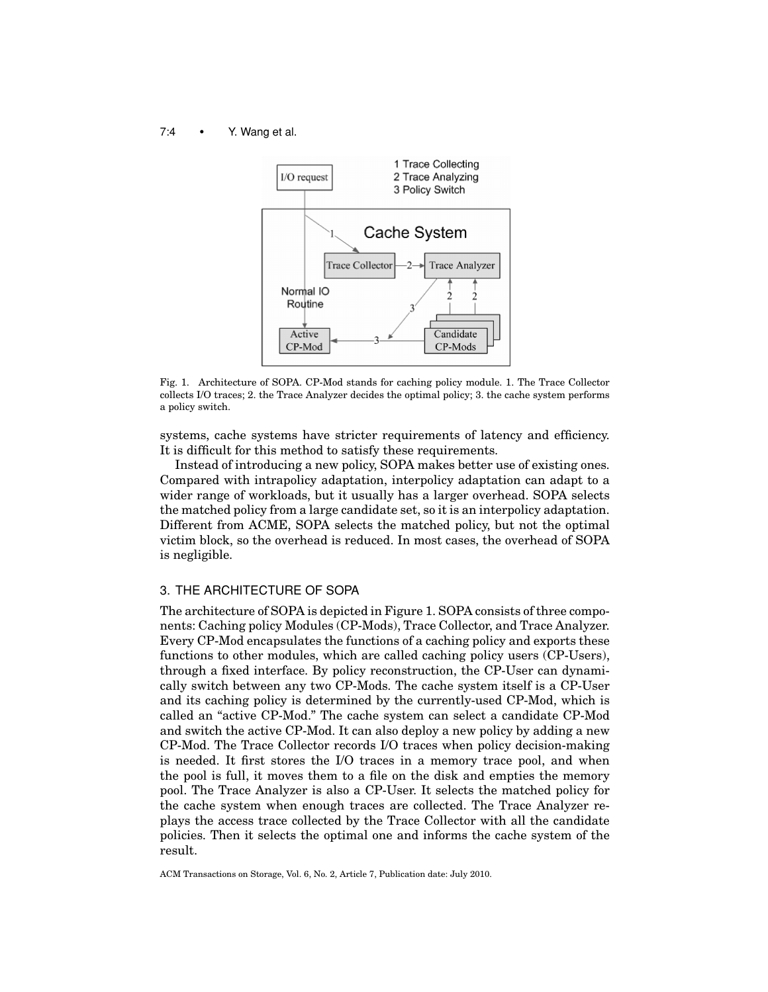7:4 • Y. Wang et al.



Fig. 1. Architecture of SOPA. CP-Mod stands for caching policy module. 1. The Trace Collector collects I/O traces; 2. the Trace Analyzer decides the optimal policy; 3. the cache system performs a policy switch.

systems, cache systems have stricter requirements of latency and efficiency. It is difficult for this method to satisfy these requirements.

Instead of introducing a new policy, SOPA makes better use of existing ones. Compared with intrapolicy adaptation, interpolicy adaptation can adapt to a wider range of workloads, but it usually has a larger overhead. SOPA selects the matched policy from a large candidate set, so it is an interpolicy adaptation. Different from ACME, SOPA selects the matched policy, but not the optimal victim block, so the overhead is reduced. In most cases, the overhead of SOPA is negligible.

#### 3. THE ARCHITECTURE OF SOPA

The architecture of SOPA is depicted in Figure 1. SOPA consists of three components: Caching policy Modules (CP-Mods), Trace Collector, and Trace Analyzer. Every CP-Mod encapsulates the functions of a caching policy and exports these functions to other modules, which are called caching policy users (CP-Users), through a fixed interface. By policy reconstruction, the CP-User can dynamically switch between any two CP-Mods. The cache system itself is a CP-User and its caching policy is determined by the currently-used CP-Mod, which is called an "active CP-Mod." The cache system can select a candidate CP-Mod and switch the active CP-Mod. It can also deploy a new policy by adding a new CP-Mod. The Trace Collector records I/O traces when policy decision-making is needed. It first stores the I/O traces in a memory trace pool, and when the pool is full, it moves them to a file on the disk and empties the memory pool. The Trace Analyzer is also a CP-User. It selects the matched policy for the cache system when enough traces are collected. The Trace Analyzer replays the access trace collected by the Trace Collector with all the candidate policies. Then it selects the optimal one and informs the cache system of the result.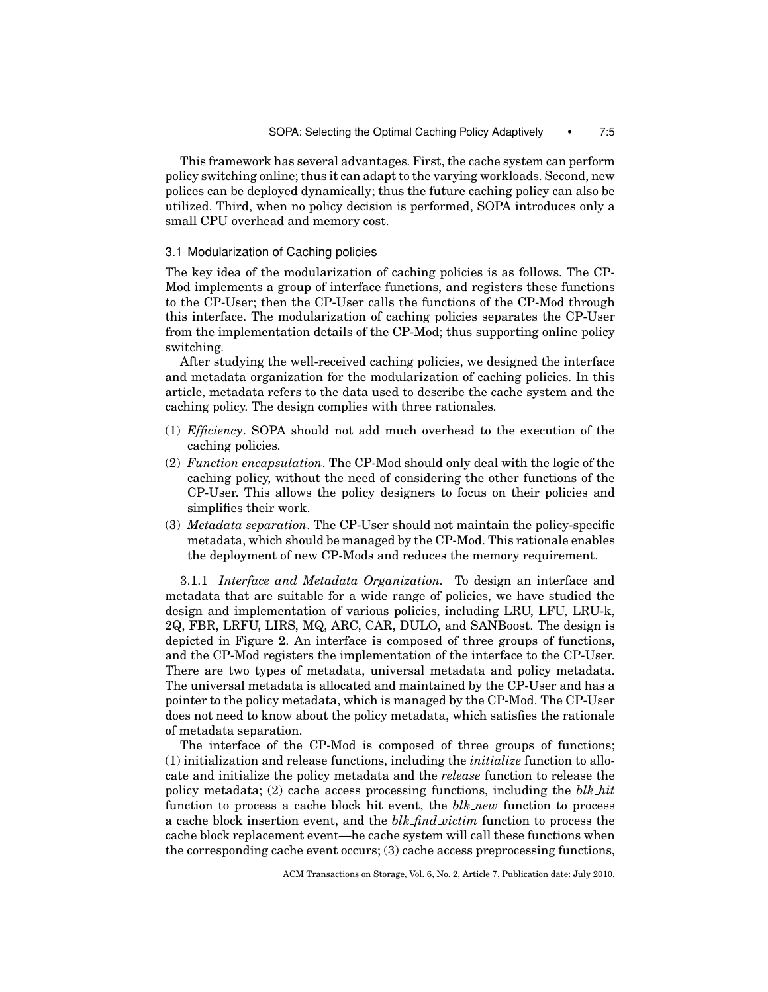This framework has several advantages. First, the cache system can perform policy switching online; thus it can adapt to the varying workloads. Second, new polices can be deployed dynamically; thus the future caching policy can also be utilized. Third, when no policy decision is performed, SOPA introduces only a small CPU overhead and memory cost.

## 3.1 Modularization of Caching policies

The key idea of the modularization of caching policies is as follows. The CP-Mod implements a group of interface functions, and registers these functions to the CP-User; then the CP-User calls the functions of the CP-Mod through this interface. The modularization of caching policies separates the CP-User from the implementation details of the CP-Mod; thus supporting online policy switching.

After studying the well-received caching policies, we designed the interface and metadata organization for the modularization of caching policies. In this article, metadata refers to the data used to describe the cache system and the caching policy. The design complies with three rationales.

- (1) *Efficiency*. SOPA should not add much overhead to the execution of the caching policies.
- (2) *Function encapsulation*. The CP-Mod should only deal with the logic of the caching policy, without the need of considering the other functions of the CP-User. This allows the policy designers to focus on their policies and simplifies their work.
- (3) *Metadata separation*. The CP-User should not maintain the policy-specific metadata, which should be managed by the CP-Mod. This rationale enables the deployment of new CP-Mods and reduces the memory requirement.

3.1.1 *Interface and Metadata Organization.* To design an interface and metadata that are suitable for a wide range of policies, we have studied the design and implementation of various policies, including LRU, LFU, LRU-k, 2Q, FBR, LRFU, LIRS, MQ, ARC, CAR, DULO, and SANBoost. The design is depicted in Figure 2. An interface is composed of three groups of functions, and the CP-Mod registers the implementation of the interface to the CP-User. There are two types of metadata, universal metadata and policy metadata. The universal metadata is allocated and maintained by the CP-User and has a pointer to the policy metadata, which is managed by the CP-Mod. The CP-User does not need to know about the policy metadata, which satisfies the rationale of metadata separation.

The interface of the CP-Mod is composed of three groups of functions; (1) initialization and release functions, including the *initialize* function to allocate and initialize the policy metadata and the *release* function to release the policy metadata; (2) cache access processing functions, including the *blk hit* function to process a cache block hit event, the *blk new* function to process a cache block insertion event, and the *blk find victim* function to process the cache block replacement event—he cache system will call these functions when the corresponding cache event occurs; (3) cache access preprocessing functions,

ACM Transactions on Storage, Vol. 6, No. 2, Article 7, Publication date: July 2010.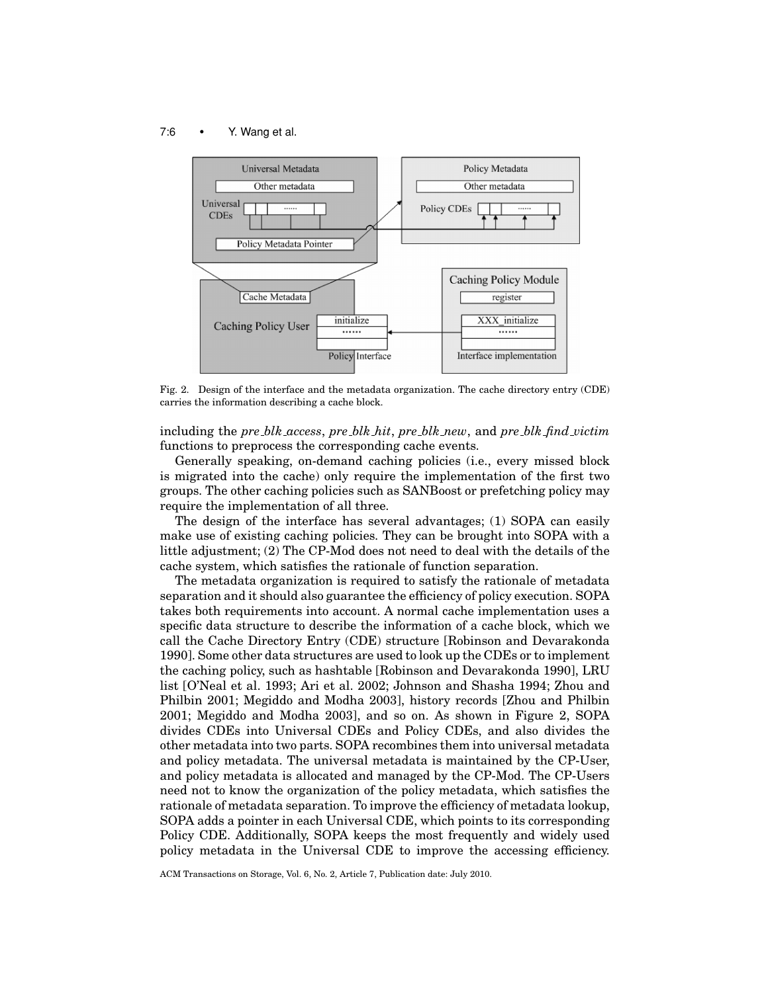7:6 • Y. Wang et al.



Fig. 2. Design of the interface and the metadata organization. The cache directory entry (CDE) carries the information describing a cache block.

including the *pre blk access*, *pre blk hit*, *pre blk new*, and *pre blk find victim* functions to preprocess the corresponding cache events.

Generally speaking, on-demand caching policies (i.e., every missed block is migrated into the cache) only require the implementation of the first two groups. The other caching policies such as SANBoost or prefetching policy may require the implementation of all three.

The design of the interface has several advantages; (1) SOPA can easily make use of existing caching policies. They can be brought into SOPA with a little adjustment; (2) The CP-Mod does not need to deal with the details of the cache system, which satisfies the rationale of function separation.

The metadata organization is required to satisfy the rationale of metadata separation and it should also guarantee the efficiency of policy execution. SOPA takes both requirements into account. A normal cache implementation uses a specific data structure to describe the information of a cache block, which we call the Cache Directory Entry (CDE) structure [Robinson and Devarakonda 1990]. Some other data structures are used to look up the CDEs or to implement the caching policy, such as hashtable [Robinson and Devarakonda 1990], LRU list [O'Neal et al. 1993; Ari et al. 2002; Johnson and Shasha 1994; Zhou and Philbin 2001; Megiddo and Modha 2003], history records [Zhou and Philbin 2001; Megiddo and Modha 2003], and so on. As shown in Figure 2, SOPA divides CDEs into Universal CDEs and Policy CDEs, and also divides the other metadata into two parts. SOPA recombines them into universal metadata and policy metadata. The universal metadata is maintained by the CP-User, and policy metadata is allocated and managed by the CP-Mod. The CP-Users need not to know the organization of the policy metadata, which satisfies the rationale of metadata separation. To improve the efficiency of metadata lookup, SOPA adds a pointer in each Universal CDE, which points to its corresponding Policy CDE. Additionally, SOPA keeps the most frequently and widely used policy metadata in the Universal CDE to improve the accessing efficiency.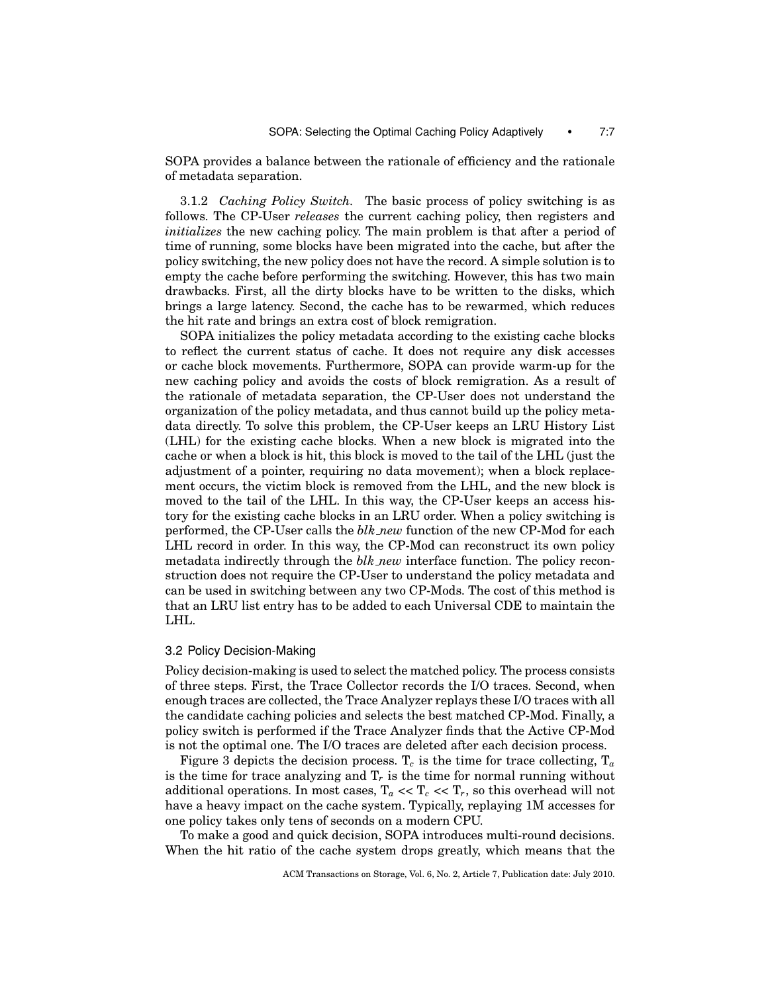SOPA provides a balance between the rationale of efficiency and the rationale of metadata separation.

3.1.2 *Caching Policy Switch.* The basic process of policy switching is as follows. The CP-User *releases* the current caching policy, then registers and *initializes* the new caching policy. The main problem is that after a period of time of running, some blocks have been migrated into the cache, but after the policy switching, the new policy does not have the record. A simple solution is to empty the cache before performing the switching. However, this has two main drawbacks. First, all the dirty blocks have to be written to the disks, which brings a large latency. Second, the cache has to be rewarmed, which reduces the hit rate and brings an extra cost of block remigration.

SOPA initializes the policy metadata according to the existing cache blocks to reflect the current status of cache. It does not require any disk accesses or cache block movements. Furthermore, SOPA can provide warm-up for the new caching policy and avoids the costs of block remigration. As a result of the rationale of metadata separation, the CP-User does not understand the organization of the policy metadata, and thus cannot build up the policy metadata directly. To solve this problem, the CP-User keeps an LRU History List (LHL) for the existing cache blocks. When a new block is migrated into the cache or when a block is hit, this block is moved to the tail of the LHL (just the adjustment of a pointer, requiring no data movement); when a block replacement occurs, the victim block is removed from the LHL, and the new block is moved to the tail of the LHL. In this way, the CP-User keeps an access history for the existing cache blocks in an LRU order. When a policy switching is performed, the CP-User calls the *blk new* function of the new CP-Mod for each LHL record in order. In this way, the CP-Mod can reconstruct its own policy metadata indirectly through the *blk new* interface function. The policy reconstruction does not require the CP-User to understand the policy metadata and can be used in switching between any two CP-Mods. The cost of this method is that an LRU list entry has to be added to each Universal CDE to maintain the LHL.

#### 3.2 Policy Decision-Making

Policy decision-making is used to select the matched policy. The process consists of three steps. First, the Trace Collector records the I/O traces. Second, when enough traces are collected, the Trace Analyzer replays these I/O traces with all the candidate caching policies and selects the best matched CP-Mod. Finally, a policy switch is performed if the Trace Analyzer finds that the Active CP-Mod is not the optimal one. The I/O traces are deleted after each decision process.

Figure 3 depicts the decision process.  $T_c$  is the time for trace collecting,  $T_a$ is the time for trace analyzing and  $T_r$  is the time for normal running without additional operations. In most cases,  $T_a \ll T_c \ll T_r$ , so this overhead will not have a heavy impact on the cache system. Typically, replaying 1M accesses for one policy takes only tens of seconds on a modern CPU.

To make a good and quick decision, SOPA introduces multi-round decisions. When the hit ratio of the cache system drops greatly, which means that the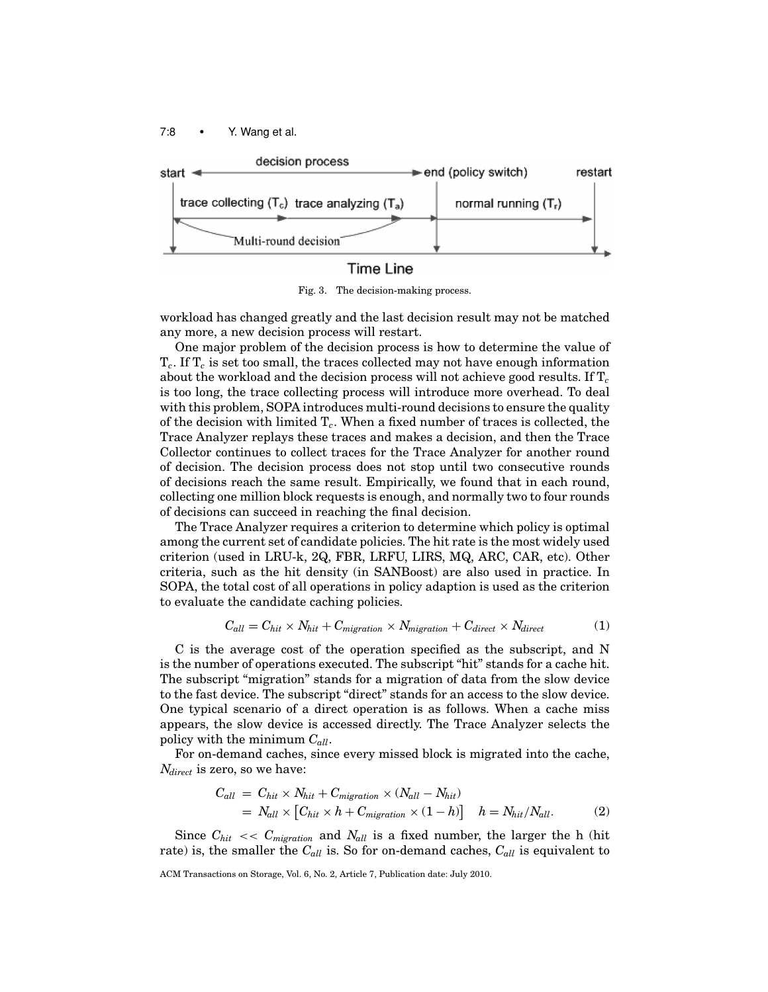

**Time Line** 

Fig. 3. The decision-making process.

workload has changed greatly and the last decision result may not be matched any more, a new decision process will restart.

One major problem of the decision process is how to determine the value of T*c*. If T*<sup>c</sup>* is set too small, the traces collected may not have enough information about the workload and the decision process will not achieve good results. If T*<sup>c</sup>* is too long, the trace collecting process will introduce more overhead. To deal with this problem, SOPA introduces multi-round decisions to ensure the quality of the decision with limited T*c*. When a fixed number of traces is collected, the Trace Analyzer replays these traces and makes a decision, and then the Trace Collector continues to collect traces for the Trace Analyzer for another round of decision. The decision process does not stop until two consecutive rounds of decisions reach the same result. Empirically, we found that in each round, collecting one million block requests is enough, and normally two to four rounds of decisions can succeed in reaching the final decision.

The Trace Analyzer requires a criterion to determine which policy is optimal among the current set of candidate policies. The hit rate is the most widely used criterion (used in LRU-k, 2Q, FBR, LRFU, LIRS, MQ, ARC, CAR, etc). Other criteria, such as the hit density (in SANBoost) are also used in practice. In SOPA, the total cost of all operations in policy adaption is used as the criterion to evaluate the candidate caching policies.

$$
C_{all} = C_{hit} \times N_{hit} + C_{migration} \times N_{migration} + C_{direct} \times N_{direct}
$$
 (1)

C is the average cost of the operation specified as the subscript, and N is the number of operations executed. The subscript "hit" stands for a cache hit. The subscript "migration" stands for a migration of data from the slow device to the fast device. The subscript "direct" stands for an access to the slow device. One typical scenario of a direct operation is as follows. When a cache miss appears, the slow device is accessed directly. The Trace Analyzer selects the policy with the minimum *Call*.

For on-demand caches, since every missed block is migrated into the cache, *Ndirect* is zero, so we have:

$$
C_{all} = C_{hit} \times N_{hit} + C_{migration} \times (N_{all} - N_{hit})
$$
  
=  $N_{all} \times [C_{hit} \times h + C_{migration} \times (1 - h)]$   $h = N_{hit}/N_{all}.$  (2)

Since  $C_{hit} \ll C_{migration}$  and  $N_{all}$  is a fixed number, the larger the h (hit rate) is, the smaller the  $C_{all}$  is. So for on-demand caches,  $C_{all}$  is equivalent to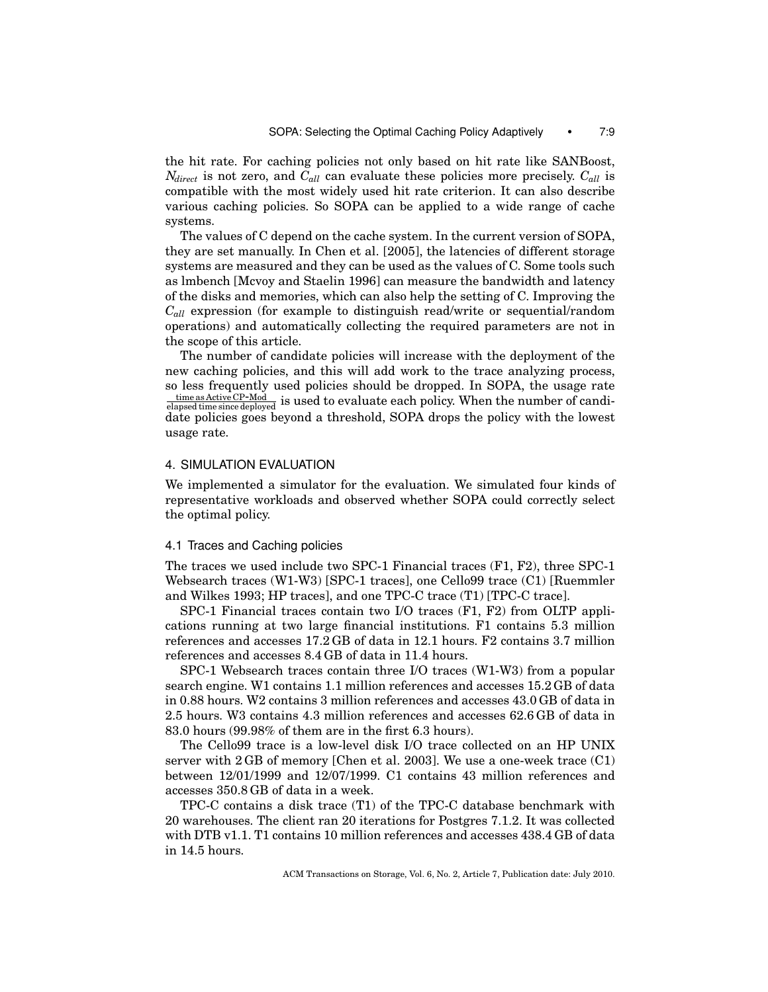the hit rate. For caching policies not only based on hit rate like SANBoost, *Ndirect* is not zero, and *Call* can evaluate these policies more precisely. *Call* is compatible with the most widely used hit rate criterion. It can also describe various caching policies. So SOPA can be applied to a wide range of cache systems.

The values of C depend on the cache system. In the current version of SOPA, they are set manually. In Chen et al. [2005], the latencies of different storage systems are measured and they can be used as the values of C. Some tools such as lmbench [Mcvoy and Staelin 1996] can measure the bandwidth and latency of the disks and memories, which can also help the setting of C. Improving the *Call* expression (for example to distinguish read/write or sequential/random operations) and automatically collecting the required parameters are not in the scope of this article.

The number of candidate policies will increase with the deployment of the new caching policies, and this will add work to the trace analyzing process, so less frequently used policies should be dropped. In SOPA, the usage rate time as Active CP-Mod<br>elapsed time since deployed is used to evaluate each policy. When the number of candidate policies goes beyond a threshold, SOPA drops the policy with the lowest usage rate.

## 4. SIMULATION EVALUATION

We implemented a simulator for the evaluation. We simulated four kinds of representative workloads and observed whether SOPA could correctly select the optimal policy.

#### 4.1 Traces and Caching policies

The traces we used include two SPC-1 Financial traces (F1, F2), three SPC-1 Websearch traces (W1-W3) [SPC-1 traces], one Cello99 trace (C1) [Ruemmler and Wilkes 1993; HP traces], and one TPC-C trace (T1) [TPC-C trace].

SPC-1 Financial traces contain two I/O traces (F1, F2) from OLTP applications running at two large financial institutions. F1 contains 5.3 million references and accesses 17.2 GB of data in 12.1 hours. F2 contains 3.7 million references and accesses 8.4 GB of data in 11.4 hours.

SPC-1 Websearch traces contain three I/O traces (W1-W3) from a popular search engine. W1 contains 1.1 million references and accesses 15.2 GB of data in 0.88 hours. W2 contains 3 million references and accesses 43.0 GB of data in 2.5 hours. W3 contains 4.3 million references and accesses 62.6 GB of data in 83.0 hours (99.98% of them are in the first 6.3 hours).

The Cello99 trace is a low-level disk I/O trace collected on an HP UNIX server with 2 GB of memory [Chen et al. 2003]. We use a one-week trace (C1) between 12/01/1999 and 12/07/1999. C1 contains 43 million references and accesses 350.8 GB of data in a week.

TPC-C contains a disk trace (T1) of the TPC-C database benchmark with 20 warehouses. The client ran 20 iterations for Postgres 7.1.2. It was collected with DTB v1.1. T1 contains 10 million references and accesses 438.4 GB of data in 14.5 hours.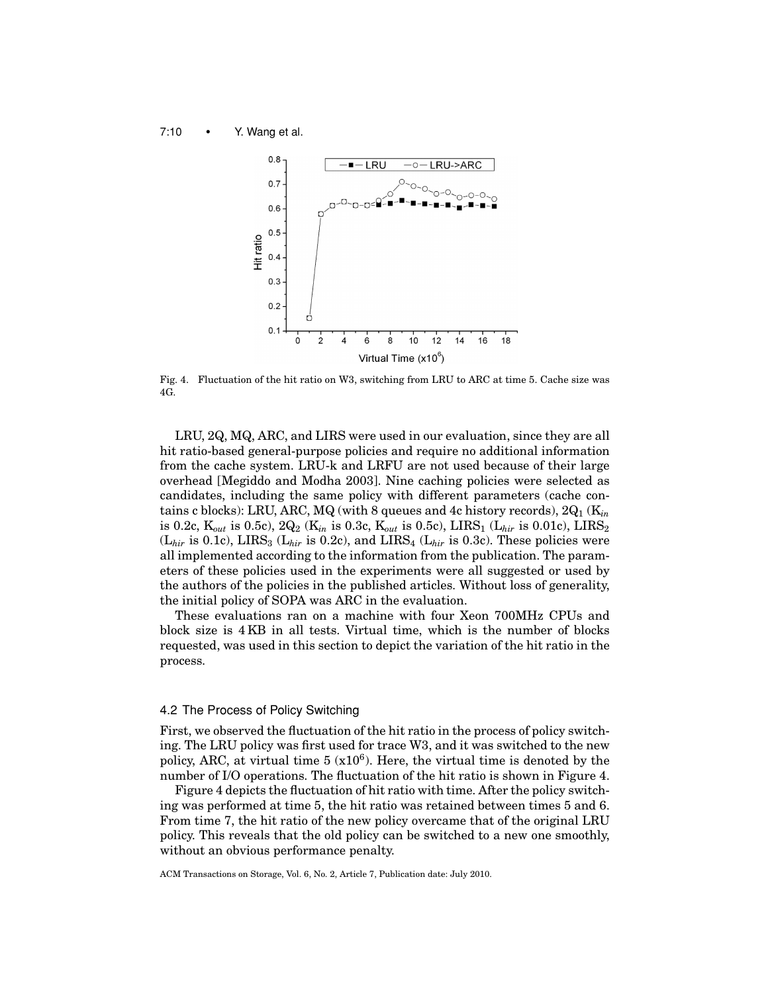7:10 • Y. Wang et al.



Fig. 4. Fluctuation of the hit ratio on W3, switching from LRU to ARC at time 5. Cache size was 4G.

LRU, 2Q, MQ, ARC, and LIRS were used in our evaluation, since they are all hit ratio-based general-purpose policies and require no additional information from the cache system. LRU-k and LRFU are not used because of their large overhead [Megiddo and Modha 2003]. Nine caching policies were selected as candidates, including the same policy with different parameters (cache contains c blocks): LRU, ARC, MQ (with 8 queues and 4c history records), 2Q1 (K*in* is 0.2c,  $K_{out}$  is 0.5c),  $2Q_2$  ( $K_{in}$  is 0.3c,  $K_{out}$  is 0.5c), LIRS<sub>1</sub> ( $L_{hir}$  is 0.01c), LIRS<sub>2</sub>  $(L_{hir}$  is 0.1c), LIRS<sub>3</sub> ( $L_{hir}$  is 0.2c), and LIRS<sub>4</sub> ( $L_{hir}$  is 0.3c). These policies were all implemented according to the information from the publication. The parameters of these policies used in the experiments were all suggested or used by the authors of the policies in the published articles. Without loss of generality, the initial policy of SOPA was ARC in the evaluation.

These evaluations ran on a machine with four Xeon 700MHz CPUs and block size is 4 KB in all tests. Virtual time, which is the number of blocks requested, was used in this section to depict the variation of the hit ratio in the process.

#### 4.2 The Process of Policy Switching

First, we observed the fluctuation of the hit ratio in the process of policy switching. The LRU policy was first used for trace W3, and it was switched to the new policy, ARC, at virtual time 5 ( $x10<sup>6</sup>$ ). Here, the virtual time is denoted by the number of I/O operations. The fluctuation of the hit ratio is shown in Figure 4.

Figure 4 depicts the fluctuation of hit ratio with time. After the policy switching was performed at time 5, the hit ratio was retained between times 5 and 6. From time 7, the hit ratio of the new policy overcame that of the original LRU policy. This reveals that the old policy can be switched to a new one smoothly, without an obvious performance penalty.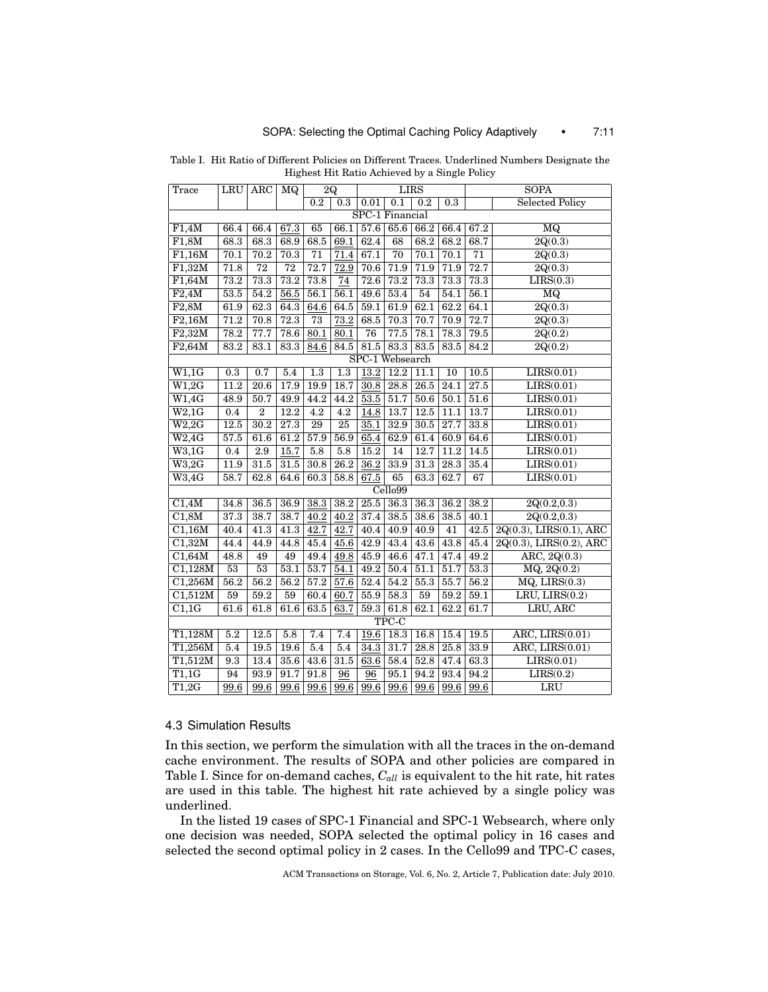| Trace                     | LRU              | $\rm{ARC}$       | MQ                |                   | 2Q                | <b>LIRS</b>       |                   | <b>SOPA</b>       |                  |                      |                                         |
|---------------------------|------------------|------------------|-------------------|-------------------|-------------------|-------------------|-------------------|-------------------|------------------|----------------------|-----------------------------------------|
|                           |                  |                  |                   | $\overline{0.2}$  | $\overline{0.3}$  | 0.01              | $\overline{0.1}$  | $\overline{0.2}$  | $\overline{0.3}$ |                      | <b>Selected Policy</b>                  |
| SPC-1 Financial           |                  |                  |                   |                   |                   |                   |                   |                   |                  |                      |                                         |
| F1,4M                     | 66.4             | 66.4             | 67.3              | 65                | 66.1              | 57.6              | 65.6              | 66.2              | 66.4             | 67.2                 | $\overline{MQ}$                         |
| F1,8M                     | 68.3             | 68.3             | 68.9              | 68.5              | 69.1              | 62.4              | 68                | 68.2              | 68.2             | 68.7                 | 2Q(0.3)                                 |
| $\overline{F1,16M}$       | 70.1             | 70.2             | 70.3              | 71                | 71.4              | 67.1              | $\overline{70}$   | 70.1              | 70.1             | $\overline{71}$      | 2Q(0.3)                                 |
| F1,32M                    | 71.8             | $\overline{72}$  | $\overline{72}$   | $\overline{72.7}$ | 72.9              | 70.6              | 71.9              | 71.9              | 71.9             | 72.7                 | 2Q(0.3)                                 |
| F1,64M                    | 73.2             | 73.3             | 73.2              | 73.8              | 74                | $\overline{72.6}$ | 73.2              | 73.3              | 73.3             | 73.3                 | LIRS(0.3)                               |
| F2,4M                     | 53.5             | 54.2             | 56.5              | 56.1              | 56.1              | 49.6              | 53.4              | 54                | 54.1             | 56.1                 | MQ                                      |
| F2,8M                     | 61.9             | 62.3             | 64.3              | 64.6              | 64.5              | 59.1              | 61.9              | 62.1              | 62.2             | 64.1                 | 2Q(0.3)                                 |
| F2,16M                    | 71.2             | 70.8             | 72.3              | 73                | $\overline{73.2}$ | 68.5              | $\overline{70.3}$ | 70.7              | 70.9             | 72.7                 | 2Q(0.3)                                 |
| F2,32M                    | 78.2             | 77.7             | 78.6              | 80.1              | 80.1              | 76                | 77.5              | 78.1              | 78.3             | 79.5                 | 2Q(0.2)                                 |
| F2,64M                    | 83.2             | 83.1             | 83.3              | 84.6              | 84.5              | 81.5              | 83.3              | 83.5              | 83.5             | 84.2                 | 2Q(0.2)                                 |
| SPC-1 Websearch           |                  |                  |                   |                   |                   |                   |                   |                   |                  |                      |                                         |
| W1, 1G                    | 0.3              | 0.7              | 5.4               | 1.3               | 1.3               | 13.2              | 12.2              | 11.1              | 10               | 10.5                 | LIRS(0.01)                              |
| $\overline{\text{W1,2G}}$ | 11.2             | 20.6             | 17.9              | 19.9              | 18.7              | 30.8              | 28.8              | 26.5              | 24.1             | 27.5                 | LIRS(0.01)                              |
| W1,4G                     | 48.9             | 50.7             | 49.9              | 44.2              | 44.2              | 53.5              | 51.7              | 50.6              | 50.1             | 51.6                 | LIRS(0.01)                              |
| $\overline{\text{W2,1G}}$ | 0.4              | $\overline{2}$   | 12.2              | $\overline{4.2}$  | $\overline{4.2}$  | 14.8              | 13.7              | 12.5              | 11.1             | 13.7                 | LIRS(0.01)                              |
| $\overline{\text{W2,2G}}$ | 12.5             | 30.2             | $\overline{27.3}$ | 29                | $\overline{25}$   | 35.1              | 32.9              | 30.5              | 27.7             | 33.8                 | LIRS(0.01)                              |
| W2, 4G                    | 57.5             | 61.6             | 61.2              | 57.9              | 56.9              | 65.4              | 62.9              | 61.4              | 60.9             | 64.6                 | LIRS(0.01)                              |
| $\overline{\text{W3,1G}}$ | 0.4              | $\overline{2.9}$ | 15.7              | 5.8               | 5.8               | 15.2              | 14                | 12.7              | 11.2             | 14.5                 | LIRS(0.01)                              |
| W3,2G                     | 11.9             | 31.5             | 31.5              | 30.8              | 26.2              | 36.2              | 33.9              | 31.3              | 28.3             | 35.4                 | LIRS(0.01)                              |
| W3,4G                     | 58.7             | 62.8             | 64.6              | 60.3              | 58.8              | 67.5              | 65                | 63.3              | 62.7             | 67                   | LIRS(0.01)                              |
|                           |                  |                  |                   |                   |                   |                   | Cello99           |                   |                  |                      |                                         |
| C1,4M                     | 34.8             | 36.5             | 36.9              | 38.3              | 38.2              | 25.5              | 36.3              | 36.3              | 36.2             | 38.2<br>2Q(0.2, 0.3) |                                         |
| C1,8M                     | 37.3             | 38.7             | 38.7              | 40.2              | 40.2              | 37.4              | 38.5              | 38.6              | 38.5             | $\overline{40.1}$    | 2Q(0.2, 0.3)                            |
| C1,16M                    | 40.4             | 41.3             | 41.3              | 42.7              | 42.7              | $\frac{40.4}{ }$  | 40.9              | $\overline{40.9}$ | $\overline{41}$  | 42.5                 | $2Q(0.3)$ , LIRS $(0.1)$ , ARC          |
| C1,32M                    | 44.4             | 44.9             | 44.8              | 45.4              | 45.6              | 42.9              | 43.4              | 43.6              | 43.8             | 45.4                 | $2Q(0.3)$ , LIRS $(0.2)$ , ARC          |
| C1,64M                    | 48.8             | 49               | 49                | 49.4              | 49.8              | 45.9              | 46.6              | 47.1              | 47.4             | 49.2                 | $\overline{\text{ARC}, 2\text{Q}(0.3)}$ |
| C1,128M                   | $\overline{53}$  | $\overline{53}$  | 53.1              | 53.7              | 54.1              | 49.2              | 50.4              | 51.1              | 51.7             | 53.3                 | MQ, 2Q(0.2)                             |
| C1,256M                   | 56.2             | 56.2             | 56.2              | 57.2              | 57.6              | 52.4              | 54.2              | 55.3              | 55.7             | 56.2                 | MQ, LIRS(0.3)                           |
| C1,512M                   | 59               | 59.2             | 59                | 60.4              | 60.7              | 55.9              | 58.3              | 59                | 59.2             | 59.1                 | LRU, $LIRS(0.2)$                        |
| C1, 1G                    | 61.6             | 61.8             | 61.6              | 63.5              | 63.7              | 59.3              | 61.8              | 62.1              | 62.2             | 61.7                 | LRU, ARC                                |
| TPC-C                     |                  |                  |                   |                   |                   |                   |                   |                   |                  |                      |                                         |
| T1,128M                   | 5.2              | 12.5             | 5.8               | 7.4               | 7.4               | 19.6              | 18.3              | 16.8              | 15.4             | 19.5                 | ARC, $LIRS(0.01)$                       |
| T1,256M                   | 5.4              | 19.5             | 19.6              | 5.4               | 5.4               | $34.\overline{3}$ | 31.7              | 28.8              | 25.8             | 33.9                 | ARC, LIRS(0.01)                         |
| T1,512M                   | $\overline{9.3}$ | 13.4             | 35.6              | 43.6              | 31.5              | 63.6              | 58.4              | 52.8              | 47.4             | 63.3                 | LIRS(0.01)                              |
| T1, 1G                    | 94               | 93.9             | 91.7              | 91.8              | 96                | 96                | 95.1              | 94.2              | 93.4             | 94.2                 | LIRS(0.2)                               |
| T1,2G                     | 99.6             | 99.6             | 99.6              | 99.6              | 99.6              | 99.6              | 99.6              | 99.6              | 99.6             | 99.6                 | LRU                                     |

Table I. Hit Ratio of Different Policies on Different Traces. Underlined Numbers Designate the Highest Hit Ratio Achieved by a Single Policy

# 4.3 Simulation Results

In this section, we perform the simulation with all the traces in the on-demand cache environment. The results of SOPA and other policies are compared in Table I. Since for on-demand caches, *Call* is equivalent to the hit rate, hit rates are used in this table. The highest hit rate achieved by a single policy was underlined.

In the listed 19 cases of SPC-1 Financial and SPC-1 Websearch, where only one decision was needed, SOPA selected the optimal policy in 16 cases and selected the second optimal policy in 2 cases. In the Cello99 and TPC-C cases,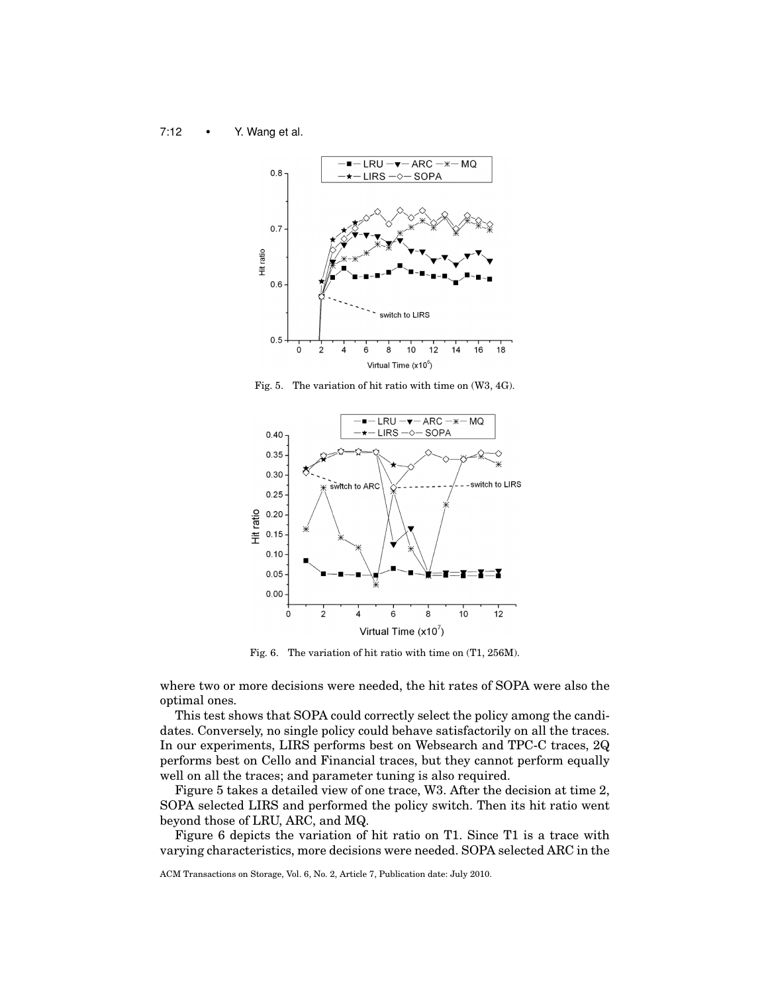#### 7:12 • Y. Wang et al.



Fig. 5. The variation of hit ratio with time on (W3, 4G).



Fig. 6. The variation of hit ratio with time on (T1, 256M).

where two or more decisions were needed, the hit rates of SOPA were also the optimal ones.

This test shows that SOPA could correctly select the policy among the candidates. Conversely, no single policy could behave satisfactorily on all the traces. In our experiments, LIRS performs best on Websearch and TPC-C traces, 2Q performs best on Cello and Financial traces, but they cannot perform equally well on all the traces; and parameter tuning is also required.

Figure 5 takes a detailed view of one trace, W3. After the decision at time 2, SOPA selected LIRS and performed the policy switch. Then its hit ratio went beyond those of LRU, ARC, and MQ.

Figure 6 depicts the variation of hit ratio on T1. Since T1 is a trace with varying characteristics, more decisions were needed. SOPA selected ARC in the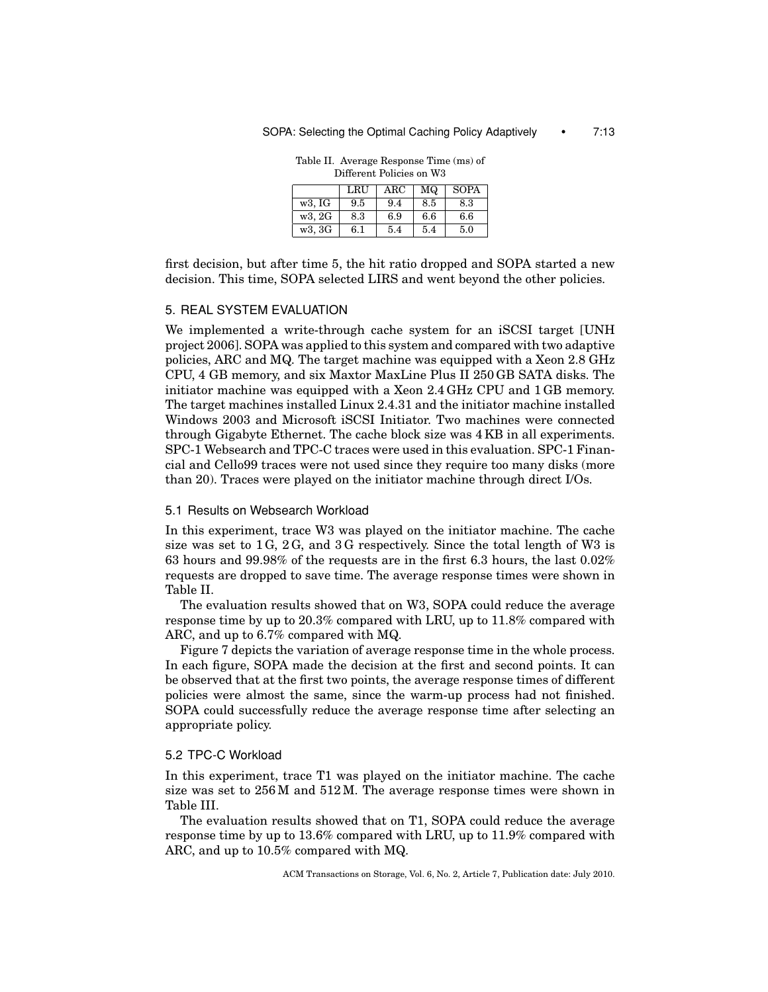#### SOPA: Selecting the Optimal Caching Policy Adaptively • 7:13

|                          | Table II. Average Response Time (ms) of |  |  |  |  |  |
|--------------------------|-----------------------------------------|--|--|--|--|--|
| Different Policies on W3 |                                         |  |  |  |  |  |

|           | LRU | ARC | ΜQ  | <b>SOPA</b> |
|-----------|-----|-----|-----|-------------|
| $w3$ , IG | 9.5 | 9.4 | 8.5 | 8.3         |
| w3, 2G    | 8.3 | 6.9 | 6.6 | 6.6         |
| w3, 3G    | 6.1 | 5.4 | 5.4 | 5.0         |

first decision, but after time 5, the hit ratio dropped and SOPA started a new decision. This time, SOPA selected LIRS and went beyond the other policies.

## 5. REAL SYSTEM EVALUATION

We implemented a write-through cache system for an iSCSI target [UNH project 2006]. SOPA was applied to this system and compared with two adaptive policies, ARC and MQ. The target machine was equipped with a Xeon 2.8 GHz CPU, 4 GB memory, and six Maxtor MaxLine Plus II 250 GB SATA disks. The initiator machine was equipped with a Xeon 2.4 GHz CPU and 1 GB memory. The target machines installed Linux 2.4.31 and the initiator machine installed Windows 2003 and Microsoft iSCSI Initiator. Two machines were connected through Gigabyte Ethernet. The cache block size was 4 KB in all experiments. SPC-1 Websearch and TPC-C traces were used in this evaluation. SPC-1 Financial and Cello99 traces were not used since they require too many disks (more than 20). Traces were played on the initiator machine through direct I/Os.

## 5.1 Results on Websearch Workload

In this experiment, trace W3 was played on the initiator machine. The cache size was set to  $1 \text{ G}$ ,  $2 \text{ G}$ , and  $3 \text{ G}$  respectively. Since the total length of W3 is 63 hours and 99.98% of the requests are in the first 6.3 hours, the last 0.02% requests are dropped to save time. The average response times were shown in Table II.

The evaluation results showed that on W3, SOPA could reduce the average response time by up to 20.3% compared with LRU, up to 11.8% compared with ARC, and up to 6.7% compared with MQ.

Figure 7 depicts the variation of average response time in the whole process. In each figure, SOPA made the decision at the first and second points. It can be observed that at the first two points, the average response times of different policies were almost the same, since the warm-up process had not finished. SOPA could successfully reduce the average response time after selecting an appropriate policy.

#### 5.2 TPC-C Workload

In this experiment, trace T1 was played on the initiator machine. The cache size was set to 256 M and 512 M. The average response times were shown in Table III.

The evaluation results showed that on T1, SOPA could reduce the average response time by up to 13.6% compared with LRU, up to 11.9% compared with ARC, and up to 10.5% compared with MQ.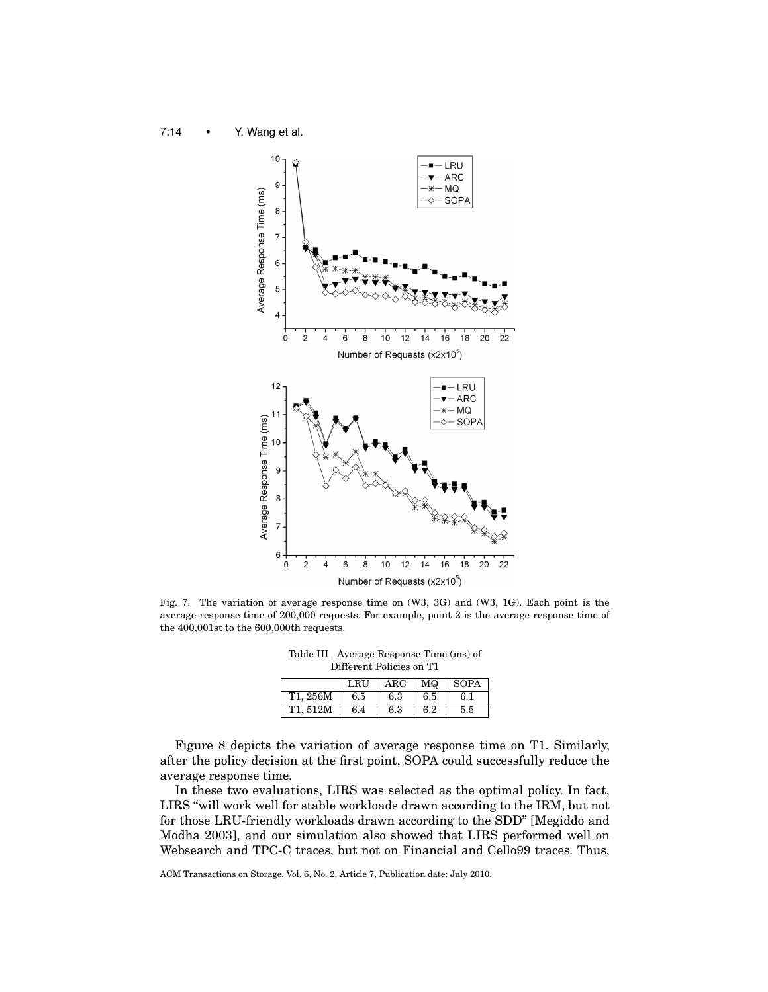#### 7:14 • Y. Wang et al.



Fig. 7. The variation of average response time on (W3, 3G) and (W3, 1G). Each point is the average response time of 200,000 requests. For example, point 2 is the average response time of the 400,001st to the 600,000th requests.

Table III. Average Response Time (ms) of Different Policies on T1

|         | LRU | $\rm{ARC}$ | MQ  | <b>SOPA</b> |
|---------|-----|------------|-----|-------------|
| T1.256M | 6.5 | 6.3        | 6.5 | 6.1         |
| T1.512M | 6.4 | 6.3        | 6.2 | 5.5         |

Figure 8 depicts the variation of average response time on T1. Similarly, after the policy decision at the first point, SOPA could successfully reduce the average response time.

In these two evaluations, LIRS was selected as the optimal policy. In fact, LIRS "will work well for stable workloads drawn according to the IRM, but not for those LRU-friendly workloads drawn according to the SDD" [Megiddo and Modha 2003], and our simulation also showed that LIRS performed well on Websearch and TPC-C traces, but not on Financial and Cello99 traces. Thus,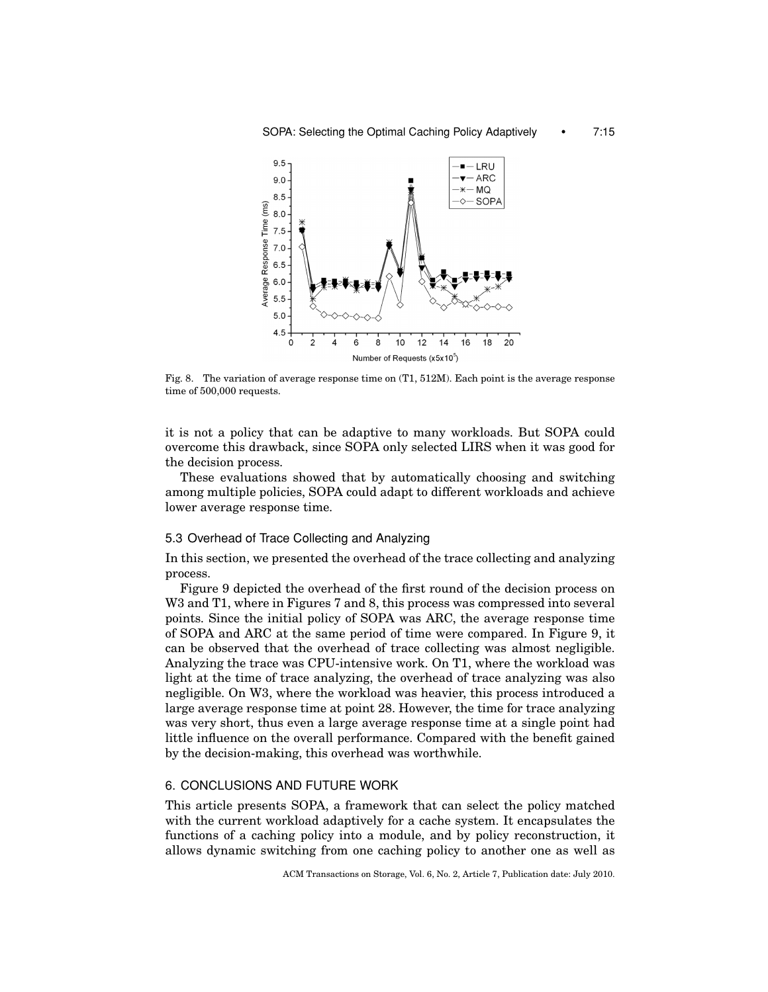SOPA: Selecting the Optimal Caching Policy Adaptively • 7:15



Fig. 8. The variation of average response time on (T1, 512M). Each point is the average response time of 500,000 requests.

it is not a policy that can be adaptive to many workloads. But SOPA could overcome this drawback, since SOPA only selected LIRS when it was good for the decision process.

These evaluations showed that by automatically choosing and switching among multiple policies, SOPA could adapt to different workloads and achieve lower average response time.

## 5.3 Overhead of Trace Collecting and Analyzing

In this section, we presented the overhead of the trace collecting and analyzing process.

Figure 9 depicted the overhead of the first round of the decision process on W3 and T1, where in Figures 7 and 8, this process was compressed into several points. Since the initial policy of SOPA was ARC, the average response time of SOPA and ARC at the same period of time were compared. In Figure 9, it can be observed that the overhead of trace collecting was almost negligible. Analyzing the trace was CPU-intensive work. On T1, where the workload was light at the time of trace analyzing, the overhead of trace analyzing was also negligible. On W3, where the workload was heavier, this process introduced a large average response time at point 28. However, the time for trace analyzing was very short, thus even a large average response time at a single point had little influence on the overall performance. Compared with the benefit gained by the decision-making, this overhead was worthwhile.

# 6. CONCLUSIONS AND FUTURE WORK

This article presents SOPA, a framework that can select the policy matched with the current workload adaptively for a cache system. It encapsulates the functions of a caching policy into a module, and by policy reconstruction, it allows dynamic switching from one caching policy to another one as well as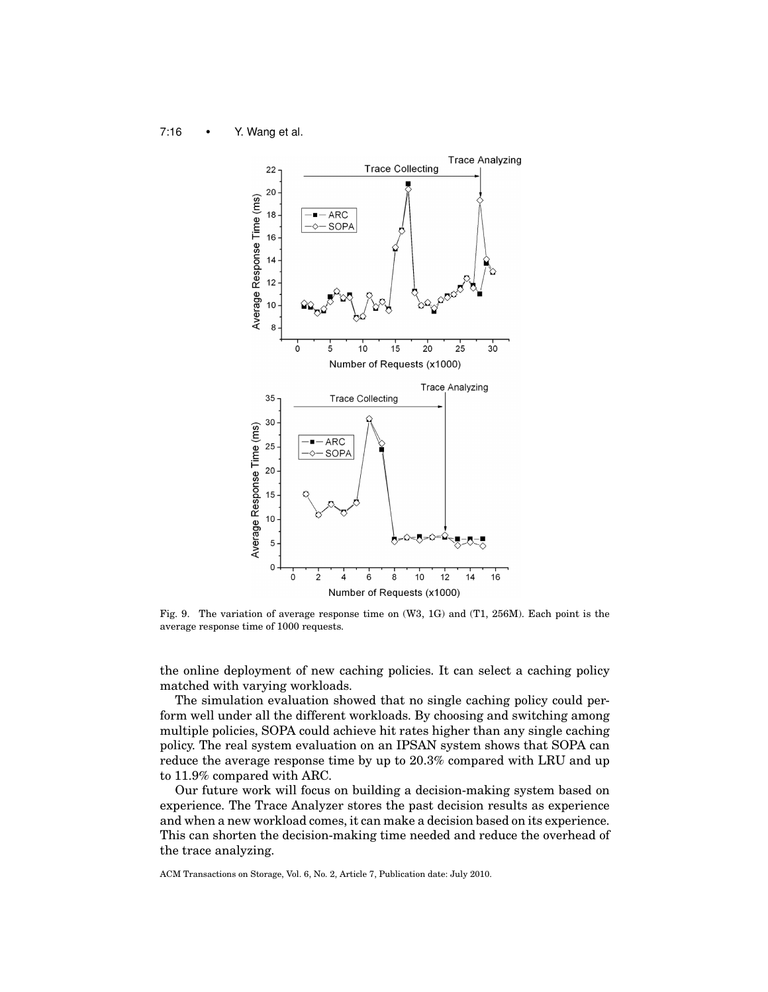7:16 • Y. Wang et al.



Fig. 9. The variation of average response time on (W3, 1G) and (T1, 256M). Each point is the average response time of 1000 requests.

the online deployment of new caching policies. It can select a caching policy matched with varying workloads.

The simulation evaluation showed that no single caching policy could perform well under all the different workloads. By choosing and switching among multiple policies, SOPA could achieve hit rates higher than any single caching policy. The real system evaluation on an IPSAN system shows that SOPA can reduce the average response time by up to 20.3% compared with LRU and up to 11.9% compared with ARC.

Our future work will focus on building a decision-making system based on experience. The Trace Analyzer stores the past decision results as experience and when a new workload comes, it can make a decision based on its experience. This can shorten the decision-making time needed and reduce the overhead of the trace analyzing.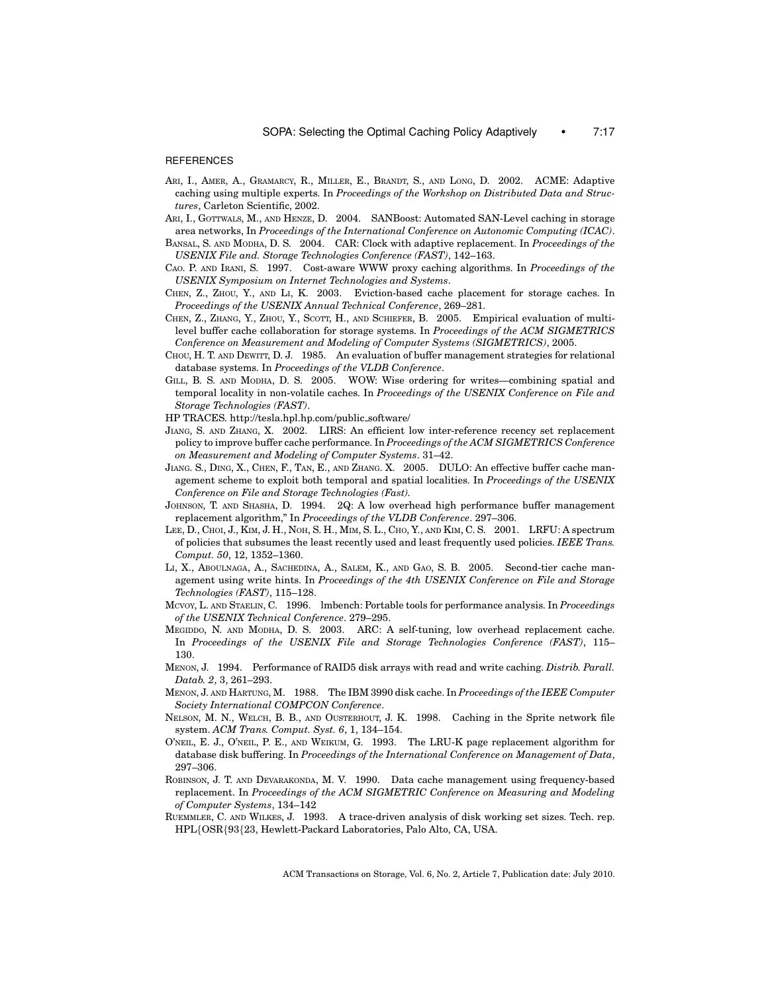#### **REFERENCES**

- ARI, I., AMER, A., GRAMARCY, R., MILLER, E., BRANDT, S., AND LONG, D. 2002. ACME: Adaptive caching using multiple experts. In *Proceedings of the Workshop on Distributed Data and Structures*, Carleton Scientific, 2002.
- ARI, I., GOTTWALS, M., AND HENZE, D. 2004. SANBoost: Automated SAN-Level caching in storage area networks, In *Proceedings of the International Conference on Autonomic Computing (ICAC)*.
- BANSAL, S. AND MODHA, D. S. 2004. CAR: Clock with adaptive replacement. In *Proceedings of the USENIX File and. Storage Technologies Conference (FAST)*, 142–163.
- CAO. P. AND IRANI, S. 1997. Cost-aware WWW proxy caching algorithms. In *Proceedings of the USENIX Symposium on Internet Technologies and Systems*.
- CHEN, Z., ZHOU, Y., AND LI, K. 2003. Eviction-based cache placement for storage caches. In *Proceedings of the USENIX Annual Technical Conference*, 269–281.
- CHEN, Z., ZHANG, Y., ZHOU, Y., SCOTT, H., AND SCHIEFER, B. 2005. Empirical evaluation of multilevel buffer cache collaboration for storage systems. In *Proceedings of the ACM SIGMETRICS Conference on Measurement and Modeling of Computer Systems (SIGMETRICS)*, 2005.
- CHOU, H. T. AND DEWITT, D. J. 1985. An evaluation of buffer management strategies for relational database systems. In *Proceedings of the VLDB Conference*.
- GILL, B. S. AND MODHA, D. S. 2005. WOW: Wise ordering for writes—combining spatial and temporal locality in non-volatile caches. In *Proceedings of the USENIX Conference on File and Storage Technologies (FAST)*.
- HP TRACES. http://tesla.hpl.hp.com/public software/
- JIANG, S. AND ZHANG, X. 2002. LIRS: An efficient low inter-reference recency set replacement policy to improve buffer cache performance. In *Proceedings of the ACM SIGMETRICS Conference on Measurement and Modeling of Computer Systems*. 31–42.
- JIANG. S., DING, X., CHEN, F., TAN, E., AND ZHANG. X. 2005. DULO: An effective buffer cache management scheme to exploit both temporal and spatial localities. In *Proceedings of the USENIX Conference on File and Storage Technologies (Fast).*
- JOHNSON, T. AND SHASHA, D. 1994. 2Q: A low overhead high performance buffer management replacement algorithm," In *Proceedings of the VLDB Conference*. 297–306.
- LEE, D., CHOI, J., KIM, J. H., NOH, S. H., MIM, S. L., CHO, Y., AND KIM, C. S. 2001. LRFU: A spectrum of policies that subsumes the least recently used and least frequently used policies. *IEEE Trans. Comput. 50*, 12, 1352–1360.
- LI, X., ABOULNAGA, A., SACHEDINA, A., SALEM, K., AND GAO, S. B. 2005. Second-tier cache management using write hints. In *Proceedings of the 4th USENIX Conference on File and Storage Technologies (FAST)*, 115–128.
- MCVOY, L. AND STAELIN, C. 1996. lmbench: Portable tools for performance analysis. In *Proceedings of the USENIX Technical Conference*. 279–295.
- MEGIDDO, N. AND MODHA, D. S. 2003. ARC: A self-tuning, low overhead replacement cache. In *Proceedings of the USENIX File and Storage Technologies Conference (FAST)*, 115– 130.
- MENON, J. 1994. Performance of RAID5 disk arrays with read and write caching. *Distrib. Parall. Datab. 2*, 3, 261–293.
- MENON, J. AND HARTUNG, M. 1988. The IBM 3990 disk cache. In *Proceedings of the IEEE Computer Society International COMPCON Conference*.
- NELSON, M. N., WELCH, B. B., AND OUSTERHOUT, J. K. 1998. Caching in the Sprite network file system. *ACM Trans. Comput. Syst. 6*, 1, 134–154.
- O'NEIL, E. J., O'NEIL, P. E., AND WEIKUM, G. 1993. The LRU-K page replacement algorithm for database disk buffering. In *Proceedings of the International Conference on Management of Data*, 297–306.
- ROBINSON, J. T. AND DEVARAKONDA, M. V. 1990. Data cache management using frequency-based replacement. In *Proceedings of the ACM SIGMETRIC Conference on Measuring and Modeling of Computer Systems*, 134–142
- RUEMMLER, C. AND WILKES, J. 1993. A trace-driven analysis of disk working set sizes. Tech. rep. HPL{OSR{93{23, Hewlett-Packard Laboratories, Palo Alto, CA, USA.